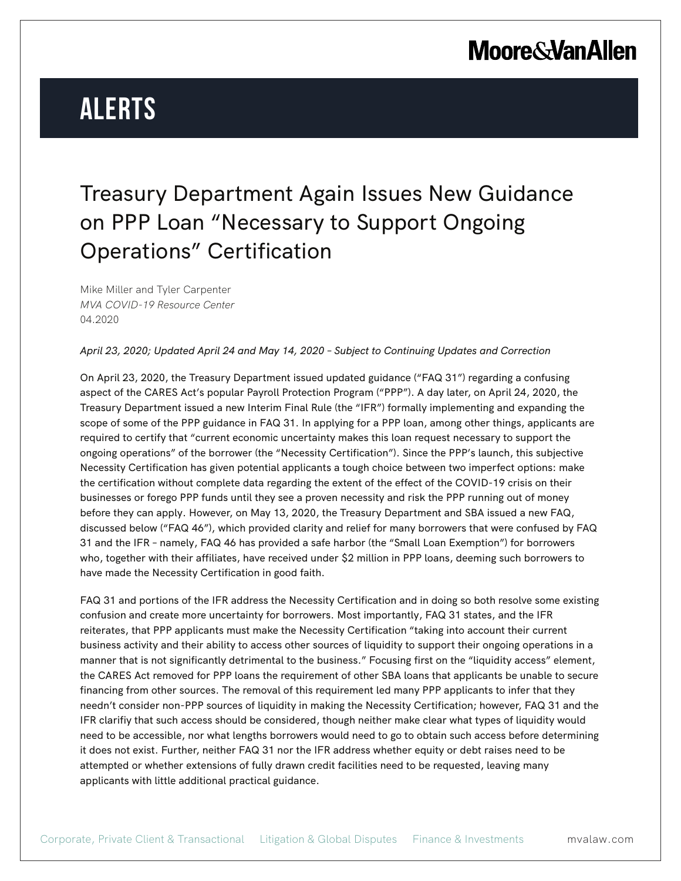# **Alerts**

### Treasury Department Again Issues New Guidance on PPP Loan "Necessary to Support Ongoing Operations" Certification

Mike Miller and Tyler Carpenter *MVA COVID-19 Resource Center* 04.2020

#### *April 23, 2020; Updated April 24 and May 14, 2020 – Subject to Continuing Updates and Correction*

On April 23, 2020, the Treasury Department issued updated guidance ("FAQ 31") regarding a confusing aspect of the CARES Act's popular Payroll Protection Program ("PPP"). A day later, on April 24, 2020, the Treasury Department issued a new Interim Final Rule (the "IFR") formally implementing and expanding the scope of some of the PPP guidance in FAQ 31. In applying for a PPP loan, among other things, applicants are required to certify that "current economic uncertainty makes this loan request necessary to support the ongoing operations" of the borrower (the "Necessity Certification"). Since the PPP's launch, this subjective Necessity Certification has given potential applicants a tough choice between two imperfect options: make the certification without complete data regarding the extent of the effect of the COVID-19 crisis on their businesses or forego PPP funds until they see a proven necessity and risk the PPP running out of money before they can apply. However, on May 13, 2020, the Treasury Department and SBA issued a new FAQ, discussed below ("FAQ 46"), which provided clarity and relief for many borrowers that were confused by FAQ 31 and the IFR – namely, FAQ 46 has provided a safe harbor (the "Small Loan Exemption") for borrowers who, together with their affiliates, have received under \$2 million in PPP loans, deeming such borrowers to have made the Necessity Certification in good faith.

FAQ 31 and portions of the IFR address the Necessity Certification and in doing so both resolve some existing confusion and create more uncertainty for borrowers. Most importantly, FAQ 31 states, and the IFR reiterates, that PPP applicants must make the Necessity Certification "taking into account their current business activity and their ability to access other sources of liquidity to support their ongoing operations in a manner that is not significantly detrimental to the business." Focusing first on the "liquidity access" element, the CARES Act removed for PPP loans the requirement of other SBA loans that applicants be unable to secure financing from other sources. The removal of this requirement led many PPP applicants to infer that they needn't consider non-PPP sources of liquidity in making the Necessity Certification; however, FAQ 31 and the IFR clarifiy that such access should be considered, though neither make clear what types of liquidity would need to be accessible, nor what lengths borrowers would need to go to obtain such access before determining it does not exist. Further, neither FAQ 31 nor the IFR address whether equity or debt raises need to be attempted or whether extensions of fully drawn credit facilities need to be requested, leaving many applicants with little additional practical guidance.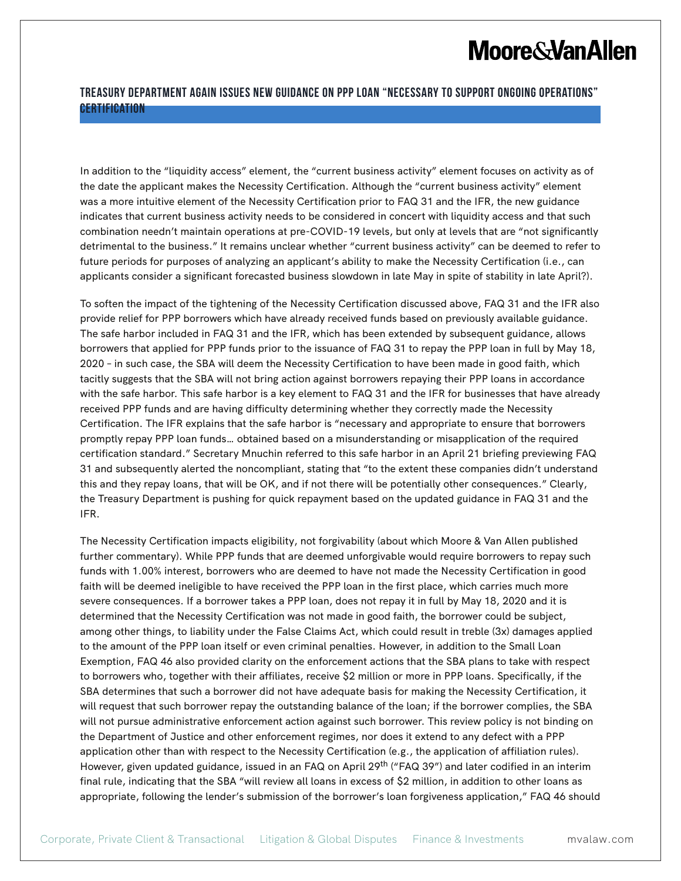#### **Treasury Department Again Issues New Guidance on PPP Loan "Necessary to Support Ongoing Operations" Certification**

In addition to the "liquidity access" element, the "current business activity" element focuses on activity as of the date the applicant makes the Necessity Certification. Although the "current business activity" element was a more intuitive element of the Necessity Certification prior to FAQ 31 and the IFR, the new guidance indicates that current business activity needs to be considered in concert with liquidity access and that such combination needn't maintain operations at pre-COVID-19 levels, but only at levels that are "not significantly detrimental to the business." It remains unclear whether "current business activity" can be deemed to refer to future periods for purposes of analyzing an applicant's ability to make the Necessity Certification (i.e., can applicants consider a significant forecasted business slowdown in late May in spite of stability in late April?).

To soften the impact of the tightening of the Necessity Certification discussed above, FAQ 31 and the IFR also provide relief for PPP borrowers which have already received funds based on previously available guidance. The safe harbor included in FAQ 31 and the IFR, which has been extended by subsequent guidance, allows borrowers that applied for PPP funds prior to the issuance of FAQ 31 to repay the PPP loan in full by May 18, 2020 – in such case, the SBA will deem the Necessity Certification to have been made in good faith, which tacitly suggests that the SBA will not bring action against borrowers repaying their PPP loans in accordance with the safe harbor. This safe harbor is a key element to FAQ 31 and the IFR for businesses that have already received PPP funds and are having difficulty determining whether they correctly made the Necessity Certification. The IFR explains that the safe harbor is "necessary and appropriate to ensure that borrowers promptly repay PPP loan funds… obtained based on a misunderstanding or misapplication of the required certification standard." Secretary Mnuchin referred to this safe harbor in an April 21 briefing previewing FAQ 31 and subsequently alerted the noncompliant, stating that "to the extent these companies didn't understand this and they repay loans, that will be OK, and if not there will be potentially other consequences." Clearly, the Treasury Department is pushing for quick repayment based on the updated guidance in FAQ 31 and the IFR.

The Necessity Certification impacts eligibility, not forgivability (about which Moore & Van Allen published further commentary). While PPP funds that are deemed unforgivable would require borrowers to repay such funds with 1.00% interest, borrowers who are deemed to have not made the Necessity Certification in good faith will be deemed ineligible to have received the PPP loan in the first place, which carries much more severe consequences. If a borrower takes a PPP loan, does not repay it in full by May 18, 2020 and it is determined that the Necessity Certification was not made in good faith, the borrower could be subject, among other things, to liability under the False Claims Act, which could result in treble (3x) damages applied to the amount of the PPP loan itself or even criminal penalties. However, in addition to the Small Loan Exemption, FAQ 46 also provided clarity on the enforcement actions that the SBA plans to take with respect to borrowers who, together with their affiliates, receive \$2 million or more in PPP loans. Specifically, if the SBA determines that such a borrower did not have adequate basis for making the Necessity Certification, it will request that such borrower repay the outstanding balance of the loan; if the borrower complies, the SBA will not pursue administrative enforcement action against such borrower. This review policy is not binding on the Department of Justice and other enforcement regimes, nor does it extend to any defect with a PPP application other than with respect to the Necessity Certification (e.g., the application of affiliation rules). However, given updated guidance, issued in an FAQ on April 29<sup>th</sup> ("FAQ 39") and later codified in an interim final rule, indicating that the SBA "will review all loans in excess of \$2 million, in addition to other loans as appropriate, following the lender's submission of the borrower's loan forgiveness application," FAQ 46 should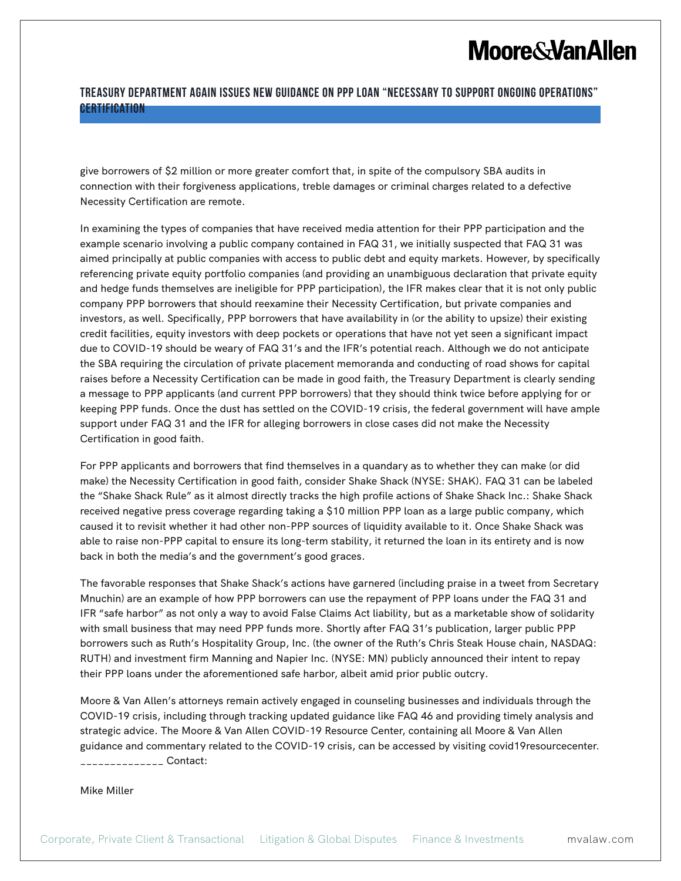#### **Treasury Department Again Issues New Guidance on PPP Loan "Necessary to Support Ongoing Operations" Certification**

give borrowers of \$2 million or more greater comfort that, in spite of the compulsory SBA audits in connection with their forgiveness applications, treble damages or criminal charges related to a defective Necessity Certification are remote.

In examining the types of companies that have received media attention for their PPP participation and the example scenario involving a public company contained in FAQ 31, we initially suspected that FAQ 31 was aimed principally at public companies with access to public debt and equity markets. However, by specifically referencing private equity portfolio companies (and providing an unambiguous declaration that private equity and hedge funds themselves are ineligible for PPP participation), the IFR makes clear that it is not only public company PPP borrowers that should reexamine their Necessity Certification, but private companies and investors, as well. Specifically, PPP borrowers that have availability in (or the ability to upsize) their existing credit facilities, equity investors with deep pockets or operations that have not yet seen a significant impact due to COVID-19 should be weary of FAQ 31's and the IFR's potential reach. Although we do not anticipate the SBA requiring the circulation of private placement memoranda and conducting of road shows for capital raises before a Necessity Certification can be made in good faith, the Treasury Department is clearly sending a message to PPP applicants (and current PPP borrowers) that they should think twice before applying for or keeping PPP funds. Once the dust has settled on the COVID-19 crisis, the federal government will have ample support under FAQ 31 and the IFR for alleging borrowers in close cases did not make the Necessity Certification in good faith.

For PPP applicants and borrowers that find themselves in a quandary as to whether they can make (or did make) the Necessity Certification in good faith, consider Shake Shack (NYSE: SHAK). FAQ 31 can be labeled the "Shake Shack Rule" as it almost directly tracks the high profile actions of Shake Shack Inc.: Shake Shack received negative press coverage regarding taking a \$10 million PPP loan as a large public company, which caused it to revisit whether it had other non-PPP sources of liquidity available to it. Once Shake Shack was able to raise non-PPP capital to ensure its long-term stability, it returned the loan in its entirety and is now back in both the media's and the government's good graces.

The favorable responses that Shake Shack's actions have garnered (including praise in a tweet from Secretary Mnuchin) are an example of how PPP borrowers can use the repayment of PPP loans under the FAQ 31 and IFR "safe harbor" as not only a way to avoid False Claims Act liability, but as a marketable show of solidarity with small business that may need PPP funds more. Shortly after FAQ 31's publication, larger public PPP borrowers such as Ruth's Hospitality Group, Inc. (the owner of the Ruth's Chris Steak House chain, NASDAQ: RUTH) and investment firm Manning and Napier Inc. (NYSE: MN) publicly announced their intent to repay their PPP loans under the aforementioned safe harbor, albeit amid prior public outcry.

Moore & Van Allen's attorneys remain actively engaged in counseling businesses and individuals through the COVID-19 crisis, including through tracking updated guidance like FAQ 46 and providing timely analysis and strategic advice. The Moore & Van Allen COVID-19 Resource Center, containing all Moore & Van Allen guidance and commentary related to the COVID-19 crisis, can be accessed by visiting covid19resourcecenter. \_\_\_\_\_\_\_\_\_\_\_\_\_\_ Contact:

Mike Miller